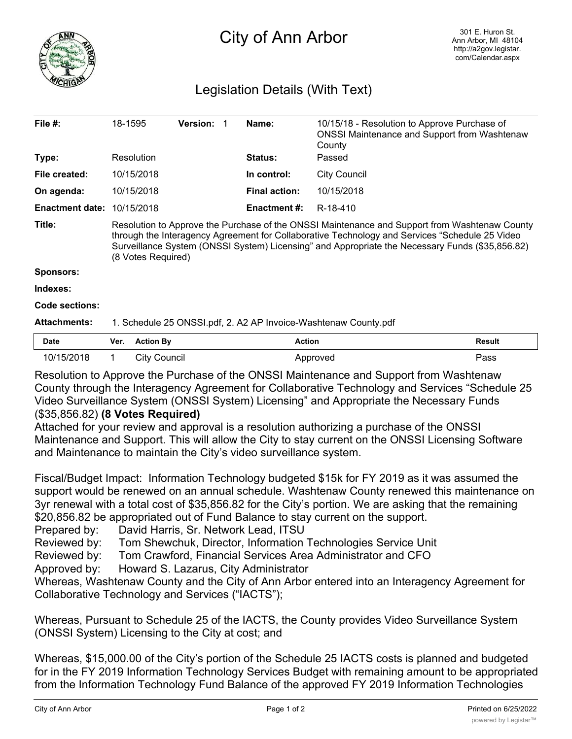

## City of Ann Arbor

## Legislation Details (With Text)

| File $#$ :             | 18-1595                                                                                                                                                                                                                                                                                                                   | <b>Version:</b> |  | Name:                | 10/15/18 - Resolution to Approve Purchase of<br><b>ONSSI Maintenance and Support from Washtenaw</b><br>County |
|------------------------|---------------------------------------------------------------------------------------------------------------------------------------------------------------------------------------------------------------------------------------------------------------------------------------------------------------------------|-----------------|--|----------------------|---------------------------------------------------------------------------------------------------------------|
| Type:                  | Resolution                                                                                                                                                                                                                                                                                                                |                 |  | <b>Status:</b>       | Passed                                                                                                        |
| File created:          | 10/15/2018                                                                                                                                                                                                                                                                                                                |                 |  | In control:          | <b>City Council</b>                                                                                           |
| On agenda:             | 10/15/2018                                                                                                                                                                                                                                                                                                                |                 |  | <b>Final action:</b> | 10/15/2018                                                                                                    |
| <b>Enactment date:</b> | 10/15/2018                                                                                                                                                                                                                                                                                                                |                 |  | <b>Enactment #:</b>  | R-18-410                                                                                                      |
| Title:                 | Resolution to Approve the Purchase of the ONSSI Maintenance and Support from Washtenaw County<br>through the Interagency Agreement for Collaborative Technology and Services "Schedule 25 Video"<br>Surveillance System (ONSSI System) Licensing" and Appropriate the Necessary Funds (\$35,856.82)<br>(8 Votes Required) |                 |  |                      |                                                                                                               |
| <b>Sponsors:</b>       |                                                                                                                                                                                                                                                                                                                           |                 |  |                      |                                                                                                               |
| Indexes:               |                                                                                                                                                                                                                                                                                                                           |                 |  |                      |                                                                                                               |
| Code sections:         |                                                                                                                                                                                                                                                                                                                           |                 |  |                      |                                                                                                               |
| <b>Attachments:</b>    | 1. Schedule 25 ONSSI.pdf, 2. A2 AP Invoice-Washtenaw County.pdf                                                                                                                                                                                                                                                           |                 |  |                      |                                                                                                               |
| Date                   | <b>Action By</b><br>Ver.                                                                                                                                                                                                                                                                                                  |                 |  | <b>Action</b>        | <b>Result</b>                                                                                                 |

10/15/2018 1 City Council **Approved** Approved **Pass** Resolution to Approve the Purchase of the ONSSI Maintenance and Support from Washtenaw County through the Interagency Agreement for Collaborative Technology and Services "Schedule 25 Video Surveillance System (ONSSI System) Licensing" and Appropriate the Necessary Funds

## (\$35,856.82) **(8 Votes Required)**

Attached for your review and approval is a resolution authorizing a purchase of the ONSSI Maintenance and Support. This will allow the City to stay current on the ONSSI Licensing Software and Maintenance to maintain the City's video surveillance system.

Fiscal/Budget Impact: Information Technology budgeted \$15k for FY 2019 as it was assumed the support would be renewed on an annual schedule. Washtenaw County renewed this maintenance on 3yr renewal with a total cost of \$35,856.82 for the City's portion. We are asking that the remaining \$20,856.82 be appropriated out of Fund Balance to stay current on the support.

Prepared by: David Harris, Sr. Network Lead, ITSU

Reviewed by: Tom Shewchuk, Director, Information Technologies Service Unit

Reviewed by: Tom Crawford, Financial Services Area Administrator and CFO

Approved by: Howard S. Lazarus, City Administrator

Whereas, Washtenaw County and the City of Ann Arbor entered into an Interagency Agreement for Collaborative Technology and Services ("IACTS");

Whereas, Pursuant to Schedule 25 of the IACTS, the County provides Video Surveillance System (ONSSI System) Licensing to the City at cost; and

Whereas, \$15,000.00 of the City's portion of the Schedule 25 IACTS costs is planned and budgeted for in the FY 2019 Information Technology Services Budget with remaining amount to be appropriated from the Information Technology Fund Balance of the approved FY 2019 Information Technologies